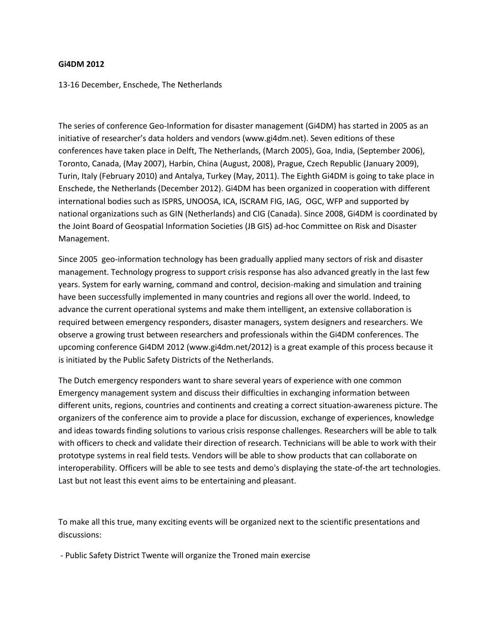## **Gi4DM 2012**

13-16 December, Enschede, The Netherlands

The series of conference Geo-Information for disaster management (Gi4DM) has started in 2005 as an initiative of researcher's data holders and vendors (www.gi4dm.net). Seven editions of these conferences have taken place in Delft, The Netherlands, (March 2005), Goa, India, (September 2006), Toronto, Canada, (May 2007), Harbin, China (August, 2008), Prague, Czech Republic (January 2009), Turin, Italy (February 2010) and Antalya, Turkey (May, 2011). The Eighth Gi4DM is going to take place in Enschede, the Netherlands (December 2012). Gi4DM has been organized in cooperation with different international bodies such as ISPRS, UNOOSA, ICA, ISCRAM FIG, IAG, OGC, WFP and supported by national organizations such as GIN (Netherlands) and CIG (Canada). Since 2008, Gi4DM is coordinated by the Joint Board of Geospatial Information Societies (JB GIS) ad-hoc Committee on Risk and Disaster Management.

Since 2005 geo-information technology has been gradually applied many sectors of risk and disaster management. Technology progress to support crisis response has also advanced greatly in the last few years. System for early warning, command and control, decision-making and simulation and training have been successfully implemented in many countries and regions all over the world. Indeed, to advance the current operational systems and make them intelligent, an extensive collaboration is required between emergency responders, disaster managers, system designers and researchers. We observe a growing trust between researchers and professionals within the Gi4DM conferences. The upcoming conference Gi4DM 2012 (www.gi4dm.net/2012) is a great example of this process because it is initiated by the Public Safety Districts of the Netherlands.

The Dutch emergency responders want to share several years of experience with one common Emergency management system and discuss their difficulties in exchanging information between different units, regions, countries and continents and creating a correct situation-awareness picture. The organizers of the conference aim to provide a place for discussion, exchange of experiences, knowledge and ideas towards finding solutions to various crisis response challenges. Researchers will be able to talk with officers to check and validate their direction of research. Technicians will be able to work with their prototype systems in real field tests. Vendors will be able to show products that can collaborate on interoperability. Officers will be able to see tests and demo's displaying the state-of-the art technologies. Last but not least this event aims to be entertaining and pleasant.

To make all this true, many exciting events will be organized next to the scientific presentations and discussions:

- Public Safety District Twente will organize the Troned main exercise